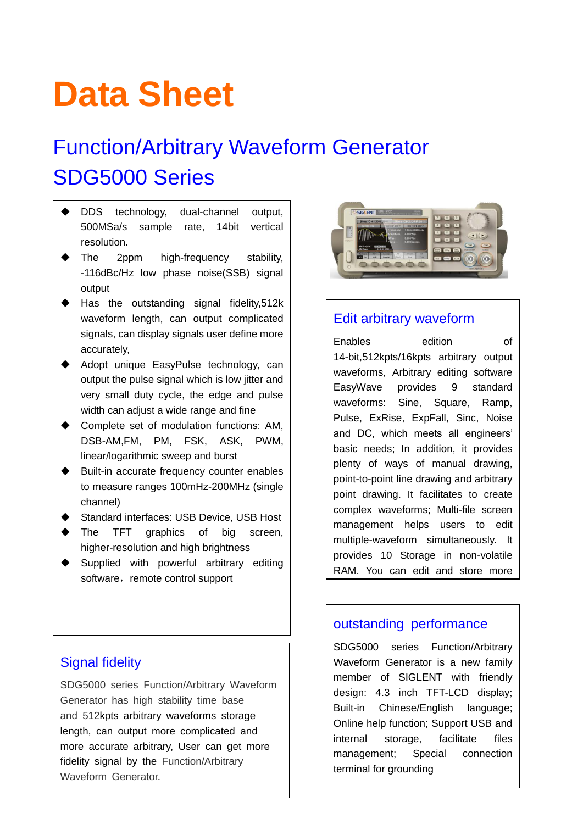# **Data Sheet**

## Function/Arbitrary Waveform Generator SDG5000 Series

- DDS technology, dual-channel output, 500MSa/s sample rate, 14bit vertical resolution.
- The 2ppm high-frequency stability, -116dBc/Hz low phase noise(SSB) signal output
- Has the outstanding signal fidelity,512k waveform length, can output complicated signals, can display signals user define more accurately,
- Adopt unique EasyPulse technology, can output the pulse signal which is low jitter and very small duty cycle, the edge and pulse width can adjust a wide range and fine
- Complete set of modulation functions: AM, DSB-AM,FM, PM, FSK, ASK, PWM, linear/logarithmic sweep and burst
- Built-in accurate frequency counter enables to measure ranges 100mHz-200MHz (single channel)
- Standard interfaces: USB Device, USB Host
- The TFT graphics of big screen, higher-resolution and high brightness
- Supplied with powerful arbitrary editing software, remote control support



SDG5000 series Function/Arbitrary Waveform Generator has high stability time base and 512kpts arbitrary waveforms storage length, can output more complicated and more accurate arbitrary, User can get more fidelity signal by the Function/Arbitrary Waveform Generator.



#### Edit arbitrary waveform

Enables edition of 14-bit,512kpts/16kpts arbitrary output waveforms, Arbitrary editing software EasyWave provides 9 standard waveforms: Sine, Square, Ramp, Pulse, ExRise, ExpFall, Sinc, Noise and DC, which meets all engineers' basic needs; In addition, it provides plenty of ways of manual drawing, point-to-point line drawing and arbitrary point drawing. It facilitates to create complex waveforms; Multi-file screen management helps users to edit multiple-waveform simultaneously. It provides 10 Storage in non-volatile RAM. You can edit and store more

#### outstanding performance

SDG5000 series Function/Arbitrary Waveform Generator is a new family member of SIGLENT with friendly design: 4.3 inch TFT-LCD display; Built-in Chinese/English language; Online help function; Support USB and internal storage, facilitate files management; Special connection terminal for grounding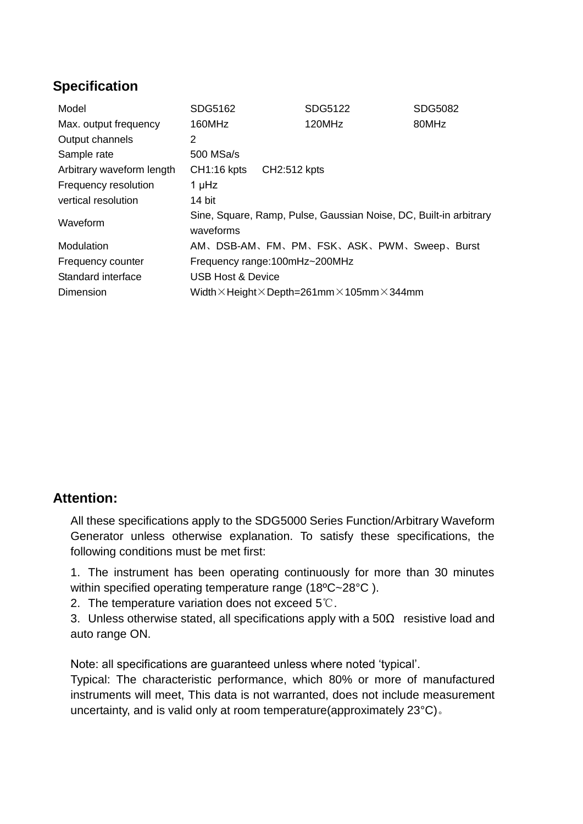## **Specification**

| Model                     | SDG5162                                                                        | SDG5122                                                                  | <b>SDG5082</b> |
|---------------------------|--------------------------------------------------------------------------------|--------------------------------------------------------------------------|----------------|
| Max. output frequency     | 160MHz                                                                         | 120MHz                                                                   | 80MHz          |
| Output channels           | 2                                                                              |                                                                          |                |
| Sample rate               | 500 MSa/s                                                                      |                                                                          |                |
| Arbitrary waveform length | CH2:512 kpts<br>CH1:16 kpts                                                    |                                                                          |                |
| Frequency resolution      | 1 µHz                                                                          |                                                                          |                |
| vertical resolution       | 14 bit                                                                         |                                                                          |                |
| Waveform                  | Sine, Square, Ramp, Pulse, Gaussian Noise, DC, Built-in arbitrary<br>waveforms |                                                                          |                |
| Modulation                |                                                                                | AM、DSB-AM、FM、PM、FSK、ASK、PWM、Sweep、Burst                                  |                |
| Frequency counter         | Frequency range: 100mHz~200MHz                                                 |                                                                          |                |
| Standard interface        | <b>USB Host &amp; Device</b>                                                   |                                                                          |                |
| Dimension                 |                                                                                | Width $\times$ Height $\times$ Depth=261mm $\times$ 105mm $\times$ 344mm |                |

#### **Attention:**

All these specifications apply to the SDG5000 Series Function/Arbitrary Waveform Generator unless otherwise explanation. To satisfy these specifications, the following conditions must be met first:

1. The instrument has been operating continuously for more than 30 minutes within specified operating temperature range (18ºC~28°C ).

2. The temperature variation does not exceed 5℃.

3. Unless otherwise stated, all specifications apply with a  $50\Omega$  resistive load and auto range ON.

Note: all specifications are guaranteed unless where noted 'typical'.

Typical: The characteristic performance, which 80% or more of manufactured instruments will meet, This data is not warranted, does not include measurement uncertainty, and is valid only at room temperature(approximately 23°C)。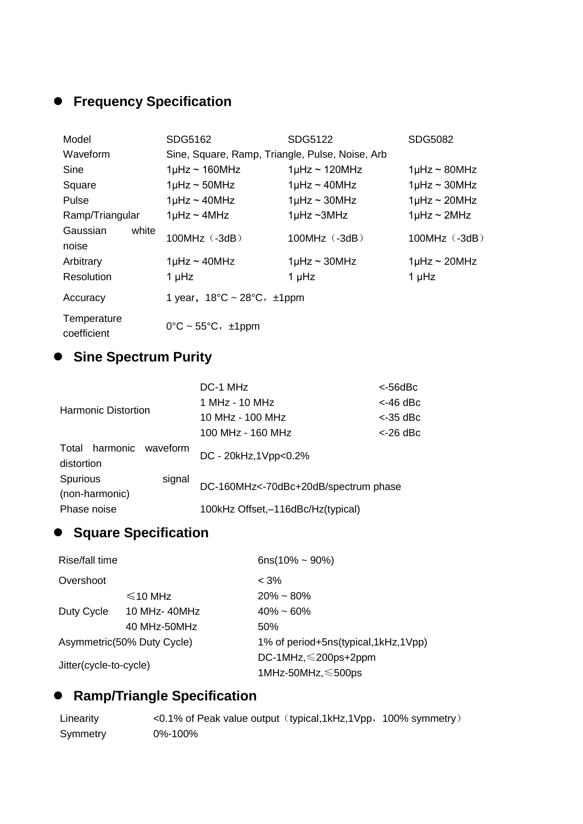## **Frequency Specification**

| Model                      | SDG5162                                              | SDG5122                   | SDG5082               |
|----------------------------|------------------------------------------------------|---------------------------|-----------------------|
| Waveform                   | Sine, Square, Ramp, Triangle, Pulse, Noise, Arb      |                           |                       |
| Sine                       | $1\mu$ Hz ~ 160MHz                                   | $1\mu$ Hz ~ 120MHz        | $1\mu$ Hz ~ 80MHz     |
| Square                     | $1\mu$ Hz ~ 50MHz                                    | $1$ µHz ~ 40MHz           | $1$ µHz ~ 30MHz       |
| Pulse                      | $1$ µHz ~ 40MHz                                      | $1\mu$ Hz ~ 30MHz         | $1\mu$ Hz ~ 20MHz     |
| Ramp/Triangular            | $1\mu$ Hz ~ $4\mu$ Hz                                | $1\mu$ Hz ~ $3\text{MHz}$ | $1\mu$ Hz ~ $2\mu$ Hz |
| Gaussian<br>white<br>noise | $100MHz$ ( $-3dB$ )                                  | 100MHz (-3dB)             | $100MHz$ $(-3dB)$     |
| Arbitrary                  | $1\mu$ Hz ~ 40MHz                                    | $1\mu$ Hz ~ 30MHz         | $1\mu$ Hz ~ 20MHz     |
| Resolution                 | 1 µHz                                                | 1 µHz                     | 1 µHz                 |
| Accuracy                   | 1 year, $18^{\circ}C \sim 28^{\circ}C$ , $\pm 1$ ppm |                           |                       |
| Temperature<br>coefficient | $0^{\circ}$ C ~ 55 $^{\circ}$ C, $\pm$ 1ppm          |                           |                       |

#### **Sine Spectrum Purity**

|                                          | DC-1 MHz                             | $< 56$ d $Bc$ |
|------------------------------------------|--------------------------------------|---------------|
|                                          | 1 MHz - 10 MHz                       | <-46 dBc      |
| <b>Harmonic Distortion</b>               | 10 MHz - 100 MHz                     | $<$ -35 dBc   |
|                                          | 100 MHz - 160 MHz                    | $<$ -26 dBc   |
| Total harmonic<br>waveform<br>distortion | DC - 20kHz, 1Vpp<0.2%                |               |
| Spurious<br>signal<br>(non-harmonic)     | DC-160MHz<-70dBc+20dB/spectrum phase |               |
| Phase noise                              | 100kHz Offset,-116dBc/Hz(typical)    |               |

## **Square Specification**

| Rise/fall time         |                            | $6ns(10\% - 90\%)$                  |
|------------------------|----------------------------|-------------------------------------|
| Overshoot              |                            | $< 3\%$                             |
|                        | $\leq 10$ MHz              | $20\% \sim 80\%$                    |
| Duty Cycle             | 10 MHz-40MHz               | $40\% \sim 60\%$                    |
|                        | 40 MHz-50MHz               | 50%                                 |
|                        | Asymmetric(50% Duty Cycle) | 1% of period+5ns(typical,1kHz,1Vpp) |
| Jitter(cycle-to-cycle) |                            | DC-1MHz, $\leq$ 200ps+2ppm          |
|                        |                            | 1MHz-50MHz, $\leq$ 500ps            |

## **Ramp/Triangle Specification**

Linearity <0.1% of Peak value output (typical,1kHz,1Vpp, 100% symmetry) Symmetry 0%-100%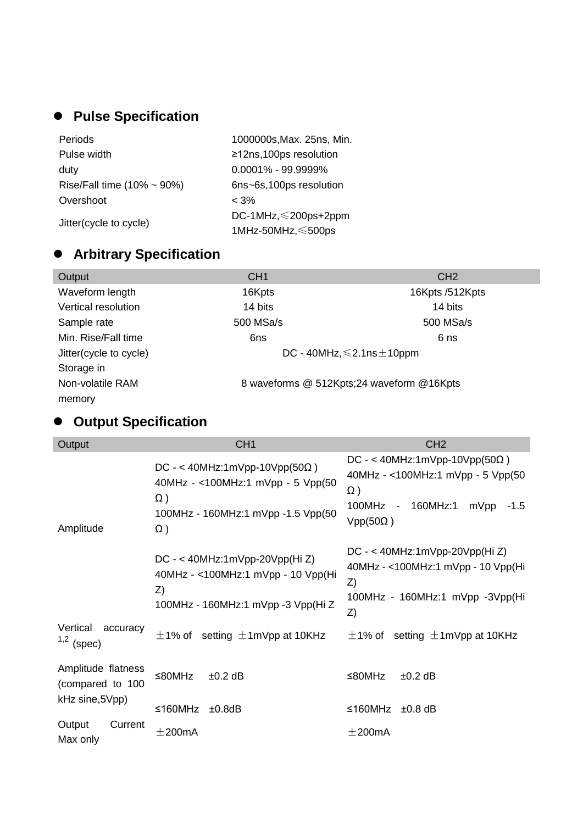## **Pulse Specification**

| Periods                           | 1000000s, Max. 25ns, Min.  |
|-----------------------------------|----------------------------|
| Pulse width                       | ≥12ns,100ps resolution     |
| duty                              | $0.0001\% - 99.9999\%$     |
| Rise/Fall time $(10\% \sim 90\%)$ | 6ns~6s,100ps resolution    |
| Overshoot                         | $<$ 3%                     |
| Jitter(cycle to cycle)            | DC-1MHz, $\leq$ 200ps+2ppm |
|                                   | 1MHz-50MHz, ≤500ps         |

## **Arbitrary Specification**

| Output                 | CH <sub>1</sub> | CH2                                       |
|------------------------|-----------------|-------------------------------------------|
| Waveform length        | 16Kpts          | 16Kpts /512Kpts                           |
| Vertical resolution    | 14 bits         | 14 bits                                   |
| Sample rate            | 500 MSa/s       | 500 MSa/s                                 |
| Min. Rise/Fall time    | 6ns             | 6 ns                                      |
| Jitter(cycle to cycle) |                 | DC - 40MHz, $\leq$ 2.1 ns $\pm$ 10 ppm    |
| Storage in             |                 |                                           |
| Non-volatile RAM       |                 | 8 waveforms @ 512Kpts;24 waveform @16Kpts |
| memory                 |                 |                                           |
|                        |                 |                                           |

## **Output Specification**

| Output                                 | CH <sub>1</sub>                                                                                                             | CH <sub>2</sub>                                                                                                                                |
|----------------------------------------|-----------------------------------------------------------------------------------------------------------------------------|------------------------------------------------------------------------------------------------------------------------------------------------|
| Amplitude                              | $DC - < 40MHz:1mVpp-10Vpp(50\Omega)$<br>40MHz - <100MHz:1 mVpp - 5 Vpp(50<br>Ω)<br>100MHz - 160MHz:1 mVpp -1.5 Vpp(50<br>Ω) | $DC - < 40MHz:1mVpp-10Vpp(50\Omega)$<br>40MHz - <100MHz:1 mVpp - 5 Vpp(50<br>$\Omega$ )<br>100MHz - 160MHz:1 mVpp<br>$-1.5$<br>$Vpp(50\Omega)$ |
|                                        | DC - < 40MHz:1mVpp-20Vpp(Hi Z)<br>40MHz - < 100MHz: 1 mVpp - 10 Vpp(Hi<br>Z)<br>100MHz - 160MHz:1 mVpp -3 Vpp(Hi Z          | $DC - < 40MHz:1mVpp-20Vpp(Hi Z)$<br>40MHz - <100MHz:1 mVpp - 10 Vpp(Hi<br>Z)<br>100MHz - 160MHz:1 mVpp -3Vpp(Hi<br>Z)                          |
| Vertical<br>accuracy<br>$1,2$ (spec)   | $\pm$ 1% of setting $\pm$ 1mVpp at 10KHz                                                                                    | $\pm$ 1% of setting $\pm$ 1mVpp at 10KHz                                                                                                       |
| Amplitude flatness<br>(compared to 100 | ≤80MHz<br>$±0.2$ dB                                                                                                         | ≤80MHz<br>$±0.2$ dB                                                                                                                            |
| kHz sine, 5Vpp)                        | ≤160MHz<br>±0.8dB                                                                                                           | ≤160MHz<br>$±0.8$ dB                                                                                                                           |
| Output<br>Current<br>Max only          | ±200mA                                                                                                                      | $\pm 200$ mA                                                                                                                                   |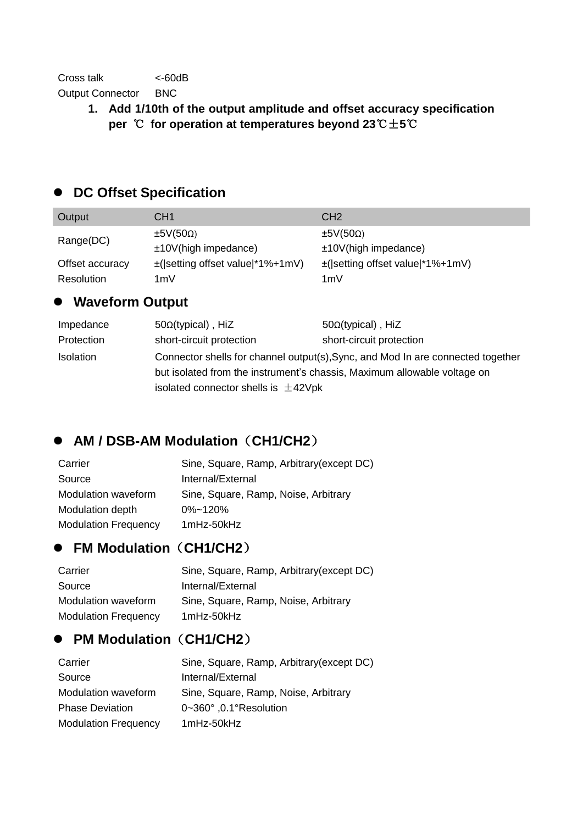**1. Add 1/10th of the output amplitude and offset accuracy specification per** ℃ **for operation at temperatures beyond 23**℃±**5**℃

## **DC Offset Specification**

| Output          | CH <sub>1</sub>                       | CH <sub>2</sub>                       |
|-----------------|---------------------------------------|---------------------------------------|
| Range(DC)       | $\pm 5V(50\Omega)$                    | $\pm 5V(50\Omega)$                    |
|                 | $±10V$ (high impedance)               | $±10V$ (high impedance)               |
| Offset accuracy | $\pm$ ( setting offset value *1%+1mV) | $\pm$ ( setting offset value *1%+1mV) |
| Resolution      | 1mV                                   | 1mV                                   |
|                 |                                       |                                       |

## **Waveform Output**

| Impedance  | $50\Omega$ (typical), HiZ                                                       | $50\Omega$ (typical), HiZ                                                |
|------------|---------------------------------------------------------------------------------|--------------------------------------------------------------------------|
| Protection | short-circuit protection                                                        | short-circuit protection                                                 |
| Isolation  | Connector shells for channel output(s), Sync, and Mod In are connected together |                                                                          |
|            |                                                                                 | but isolated from the instrument's chassis, Maximum allowable voltage on |
|            | isolated connector shells is $\pm$ 42Vpk                                        |                                                                          |

## **AM / DSB-AM Modulation**(**CH1/CH2**)

| Carrier                     | Sine, Square, Ramp, Arbitrary (except DC) |
|-----------------------------|-------------------------------------------|
| Source                      | Internal/External                         |
| Modulation waveform         | Sine, Square, Ramp, Noise, Arbitrary      |
| Modulation depth            | $0\%$ ~120%                               |
| <b>Modulation Frequency</b> | 1mHz-50kHz                                |

## **FM Modulation**(**CH1/CH2**)

| Carrier                     | Sine, Square, Ramp, Arbitrary (except DC) |
|-----------------------------|-------------------------------------------|
| Source                      | Internal/External                         |
| Modulation waveform         | Sine, Square, Ramp, Noise, Arbitrary      |
| <b>Modulation Frequency</b> | 1mHz-50kHz                                |

## **PM Modulation**(**CH1/CH2**)

| Carrier                     | Sine, Square, Ramp, Arbitrary (except DC) |
|-----------------------------|-------------------------------------------|
| Source                      | Internal/External                         |
| <b>Modulation waveform</b>  | Sine, Square, Ramp, Noise, Arbitrary      |
| <b>Phase Deviation</b>      | 0~360°, 0.1°Resolution                    |
| <b>Modulation Frequency</b> | 1mHz-50kHz                                |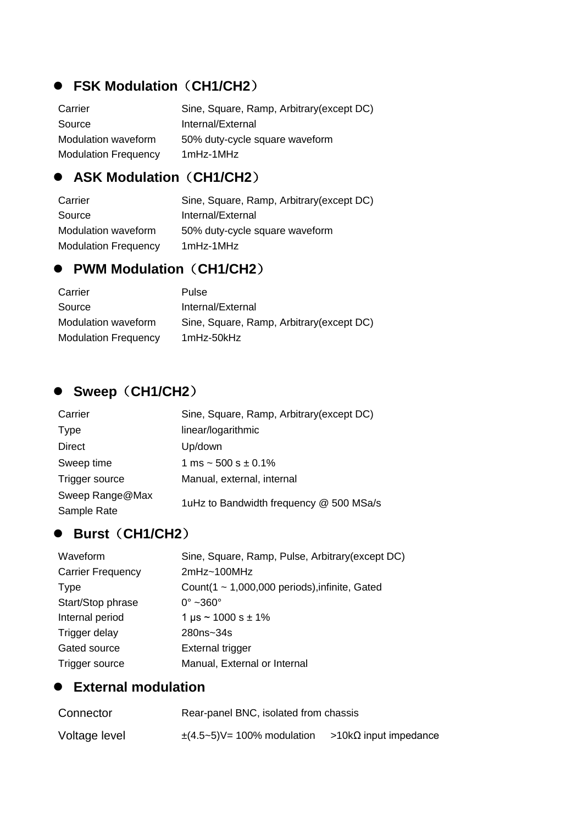## **FSK Modulation**(**CH1/CH2**)

| Carrier                     | Sine, Square, Ramp, Arbitrary (except DC) |
|-----------------------------|-------------------------------------------|
| Source                      | Internal/External                         |
| Modulation waveform         | 50% duty-cycle square waveform            |
| <b>Modulation Frequency</b> | 1mHz-1MHz                                 |

#### **ASK Modulation**(**CH1/CH2**)

| Carrier                     | Sine, Square, Ramp, Arbitrary (except DC) |
|-----------------------------|-------------------------------------------|
| Source                      | Internal/External                         |
| Modulation waveform         | 50% duty-cycle square waveform            |
| <b>Modulation Frequency</b> | 1mHz-1MHz                                 |

#### **PWM Modulation**(**CH1/CH2**)

| Carrier                     | <b>Pulse</b>                              |
|-----------------------------|-------------------------------------------|
| Source                      | Internal/External                         |
| Modulation waveform         | Sine, Square, Ramp, Arbitrary (except DC) |
| <b>Modulation Frequency</b> | 1mHz-50kHz                                |

#### **•** Sweep (CH1/CH2)

| Carrier         | Sine, Square, Ramp, Arbitrary(except DC) |  |  |
|-----------------|------------------------------------------|--|--|
| <b>Type</b>     | linear/logarithmic                       |  |  |
| Direct          | Up/down                                  |  |  |
| Sweep time      | 1 ms $\sim$ 500 s $\pm$ 0.1%             |  |  |
| Trigger source  | Manual, external, internal               |  |  |
| Sweep Range@Max | 1uHz to Bandwidth frequency @ 500 MSa/s  |  |  |
| Sample Rate     |                                          |  |  |

## **Burst**(**CH1/CH2**)

| Waveform                 | Sine, Square, Ramp, Pulse, Arbitrary(except DC)    |
|--------------------------|----------------------------------------------------|
| <b>Carrier Frequency</b> | 2mHz~100MHz                                        |
| <b>Type</b>              | Count(1 $\sim$ 1,000,000 periods), infinite, Gated |
| Start/Stop phrase        | $0^\circ$ ~360 $^\circ$                            |
| Internal period          | $1 \mu s \sim 1000 s \pm 1\%$                      |
| Trigger delay            | 280ns~34s                                          |
| Gated source             | External trigger                                   |
| Trigger source           | Manual, External or Internal                       |

#### **External modulation**

| Connector     | Rear-panel BNC, isolated from chassis                         |  |
|---------------|---------------------------------------------------------------|--|
| Voltage level | $\pm$ (4.5~5)V= 100% modulation >10k $\Omega$ input impedance |  |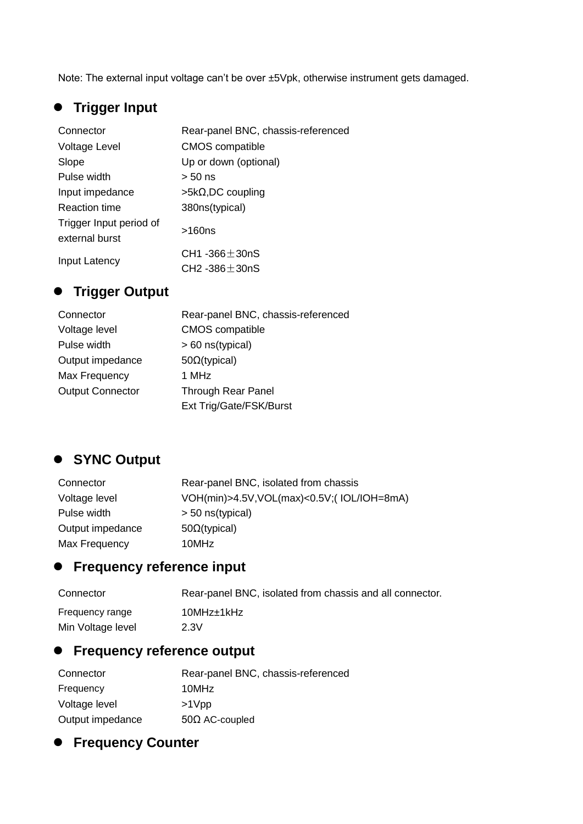Note: The external input voltage can't be over ±5Vpk, otherwise instrument gets damaged.

## **Trigger Input**

| Connector                                 | Rear-panel BNC, chassis-referenced       |
|-------------------------------------------|------------------------------------------|
| Voltage Level                             | <b>CMOS</b> compatible                   |
| Slope                                     | Up or down (optional)                    |
| Pulse width                               | $> 50$ ns                                |
| Input impedance                           | $>5k\Omega$ , DC coupling                |
| <b>Reaction time</b>                      | 380ns(typical)                           |
| Trigger Input period of<br>external burst | >160ns                                   |
| Input Latency                             | $CH1 - 366 + 30nS$<br>$CH2 - 386 + 30nS$ |

## **Trigger Output**

| Connector               | Rear-panel BNC, chassis-referenced |
|-------------------------|------------------------------------|
| Voltage level           | <b>CMOS</b> compatible             |
| Pulse width             | > 60 ns(typical)                   |
| Output impedance        | $50\Omega$ (typical)               |
| Max Frequency           | 1 MHz                              |
| <b>Output Connector</b> | <b>Through Rear Panel</b>          |
|                         | Ext Trig/Gate/FSK/Burst            |

## **SYNC Output**

| Connector        | Rear-panel BNC, isolated from chassis     |
|------------------|-------------------------------------------|
| Voltage level    | VOH(min)>4.5V,VOL(max)<0.5V;(IOL/IOH=8mA) |
| Pulse width      | $> 50$ ns(typical)                        |
| Output impedance | $50\Omega$ (typical)                      |
| Max Frequency    | 10MHz                                     |

## **Frequency reference input**

| Connector         | Rear-panel BNC, isolated from chassis and all connector. |
|-------------------|----------------------------------------------------------|
| Frequency range   | 10MHz±1kHz                                               |
| Min Voltage level | 2.3V                                                     |

## **Frequency reference output**

| Connector        | Rear-panel BNC, chassis-referenced |
|------------------|------------------------------------|
| Frequency        | 10MHz                              |
| Voltage level    | $>1$ Vpp                           |
| Output impedance | $50\Omega$ AC-coupled              |

## **Frequency Counter**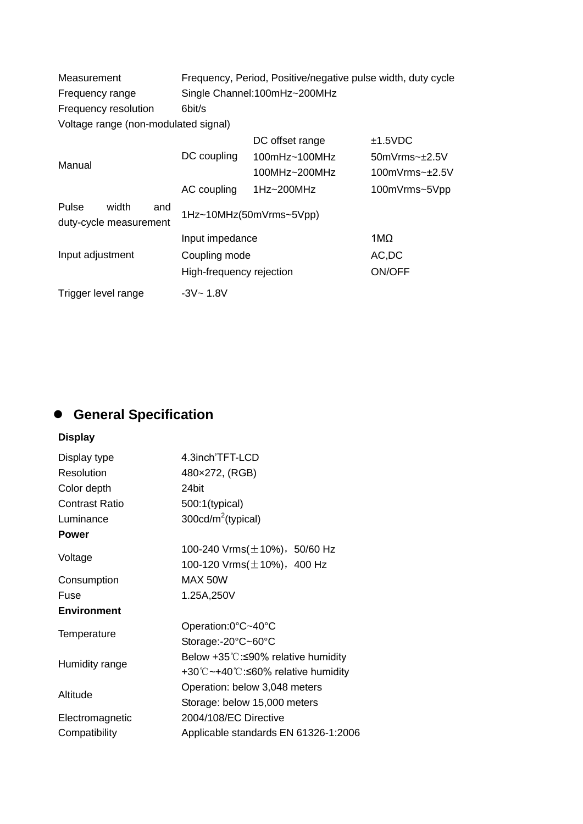| Measurement                                     | Frequency, Period, Positive/negative pulse width, duty cycle |                      |                         |
|-------------------------------------------------|--------------------------------------------------------------|----------------------|-------------------------|
| Frequency range                                 | Single Channel:100mHz~200MHz                                 |                      |                         |
| Frequency resolution                            | 6bit/s                                                       |                      |                         |
| Voltage range (non-modulated signal)            |                                                              |                      |                         |
|                                                 |                                                              | DC offset range      | ±1.5VDC                 |
| Manual                                          | DC coupling                                                  | $100mHz \sim 100MHz$ | $50mV$ rms $\sim +2.5V$ |
|                                                 |                                                              | 100MHz~200MHz        | 100mV $rms-±2.5V$       |
|                                                 | AC coupling                                                  | 1Hz~200MHz           | 100mVrms~5Vpp           |
| Pulse<br>width<br>and<br>duty-cycle measurement | 1Hz~10MHz(50mVrms~5Vpp)                                      |                      |                         |
|                                                 | Input impedance                                              |                      | $1M\Omega$              |
| Input adjustment                                | Coupling mode                                                |                      | AC, DC                  |
|                                                 | High-frequency rejection                                     |                      | ON/OFF                  |
| Trigger level range                             | $-3V - 1.8V$                                                 |                      |                         |

## **General Specification**

## **Display**

| 4.3inch'TFT-LCD                                                  |
|------------------------------------------------------------------|
| 480×272, (RGB)                                                   |
| 24bit                                                            |
| 500:1(typical)                                                   |
| 300 $cd/m^2$ (typical)                                           |
|                                                                  |
| 100-240 Vrms $(\pm 10\%)$ , 50/60 Hz                             |
| 100-120 Vrms $(\pm 10\%)$ , 400 Hz                               |
| MAX 50W                                                          |
| 1.25A,250V                                                       |
|                                                                  |
| Operation:0°C~40°C                                               |
| Storage:-20°C~60°C                                               |
| Below $+35^{\circ}$ C: $\leq$ 90% relative humidity              |
| $+30^{\circ}$ C ~ $+40^{\circ}$ C: $\leq 60\%$ relative humidity |
| Operation: below 3,048 meters                                    |
| Storage: below 15,000 meters                                     |
| 2004/108/EC Directive                                            |
| Applicable standards EN 61326-1:2006                             |
|                                                                  |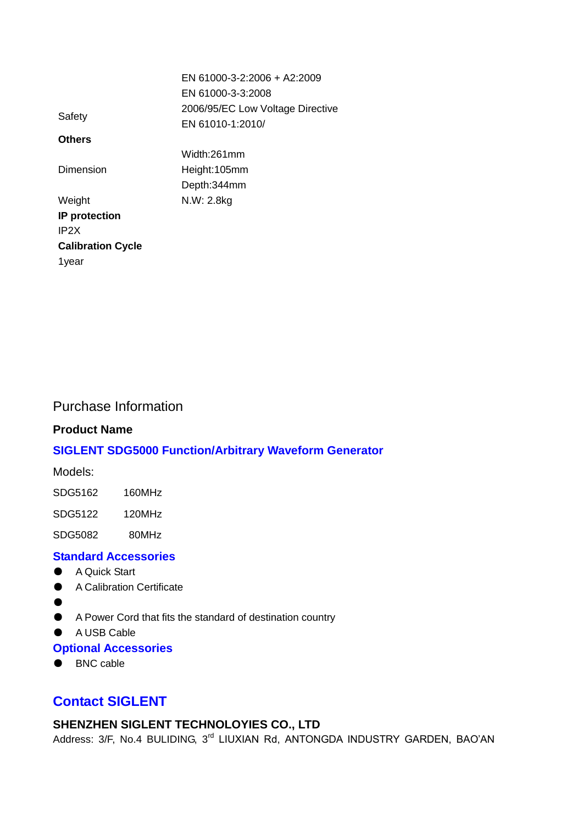|                          | EN 61000-3-2:2006 + A2:2009      |
|--------------------------|----------------------------------|
|                          | EN 61000-3-3:2008                |
| Safety                   | 2006/95/EC Low Voltage Directive |
|                          | EN 61010-1:2010/                 |
| <b>Others</b>            |                                  |
|                          | Width:261mm                      |
| Dimension                | Height:105mm                     |
|                          | Depth:344mm                      |
| Weight                   | N.W: 2.8kg                       |
| IP protection            |                                  |
| IP <sub>2</sub> X        |                                  |
| <b>Calibration Cycle</b> |                                  |
| 1year                    |                                  |

#### Purchase Information

#### **Product Name**

#### **SIGLENT SDG5000 Function/Arbitrary Waveform Generator**

Models:

SDG5122 120MHz

SDG5082 80MHz

#### **Standard Accessories**

- A Quick Start
- A Calibration Certificate
- $\bullet$
- A Power Cord that fits the standard of destination country
- A USB Cable

#### **Optional Accessories**

● BNC cable

#### **Contact SIGLENT**

#### **SHENZHEN SIGLENT TECHNOLOYIES CO., LTD**

Address: 3/F, No.4 BULIDING, 3rd LIUXIAN Rd, ANTONGDA INDUSTRY GARDEN, BAO'AN